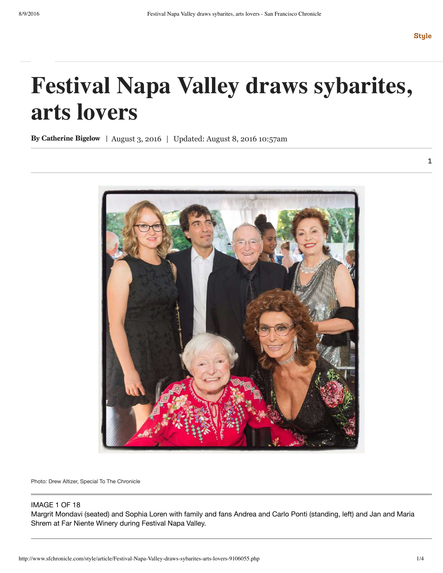## **Festival Napa Valley draws sybarites, arts lovers**

By Catherine Bigelow | August 3, 2016 | Updated: August 8, 2016 10:57am



Photo: Drew Altizer, Special To The Chronicle

## IMAGE 1 OF 18

Margrit Mondavi (seated) and Sophia Loren with family and fans Andrea and Carlo Ponti (standing, left) and Jan and Maria Shrem at Far Niente Winery during Festival Napa Valley.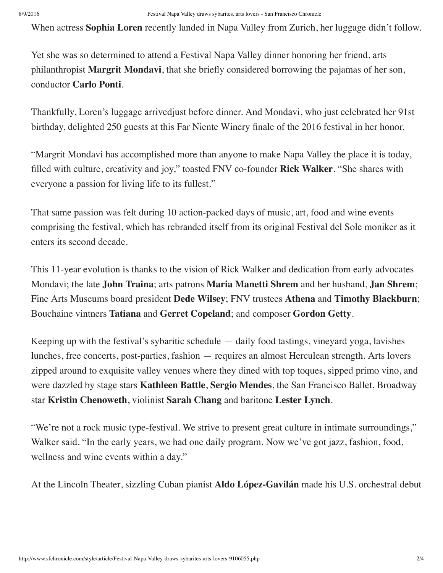When actress **Sophia Loren** recently landed in Napa Valley from Zurich, her luggage didn't follow.

Yet she was so determined to attend a Festival Napa Valley dinner honoring her friend, arts philanthropist **Margrit Mondavi**, that she briefly considered borrowing the pajamas of her son, conductor **Carlo Ponti**.

Thankfully, Loren's luggage arrivedjust before dinner. And Mondavi, who just celebrated her 91st birthday, delighted 250 guests at this Far Niente Winery finale of the 2016 festival in her honor.

"Margrit Mondavi has accomplished more than anyone to make Napa Valley the place it is today, filled with culture, creativity and joy," toasted FNV co-founder **Rick Walker**. "She shares with everyone a passion for living life to its fullest."

That same passion was felt during 10 action-packed days of music, art, food and wine events comprising the festival, which has rebranded itself from its original Festival del Sole moniker as it enters its second decade.

This 11-year evolution is thanks to the vision of Rick Walker and dedication from early advocates Mondavi; the late **John Traina**; arts patrons **Maria Manetti Shrem** and her husband, **Jan Shrem**; Fine Arts Museums board president **Dede Wilsey**; FNV trustees **Athena** and **Timothy Blackburn**; Bouchaine vintners **Tatiana** and **Gerret Copeland**; and composer **Gordon Getty**.

Keeping up with the festival's sybaritic schedule — daily food tastings, vineyard yoga, lavishes lunches, free concerts, post-parties, fashion — requires an almost Herculean strength. Arts lovers zipped around to exquisite valley venues where they dined with top toques, sipped primo vino, and were dazzled by stage stars **Kathleen Battle**, **Sergio Mendes**, the San Francisco Ballet, Broadway star **Kristin Chenoweth**, violinist **Sarah Chang** and baritone **Lester Lynch**.

"We're not a rock music type-festival. We strive to present great culture in intimate surroundings," Walker said. "In the early years, we had one daily program. Now we've got jazz, fashion, food, wellness and wine events within a day."

At the Lincoln Theater, sizzling Cuban pianist **Aldo López-Gavilán** made his U.S. orchestral debut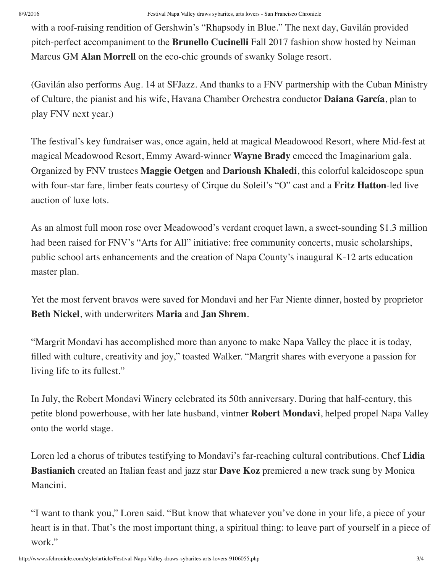with a roof-raising rendition of Gershwin's "Rhapsody in Blue." The next day, Gavilán provided pitch-perfect accompaniment to the **Brunello Cucinelli** Fall 2017 fashion show hosted by Neiman Marcus GM **Alan Morrell** on the eco-chic grounds of swanky Solage resort.

(Gavilán also performs Aug. 14 at SFJazz. And thanks to a FNV partnership with the Cuban Ministry of Culture, the pianist and his wife, Havana Chamber Orchestra conductor **Daiana García**, plan to play FNV next year.)

The festival's key fundraiser was, once again, held at magical Meadowood Resort, where Mid-fest at magical Meadowood Resort, Emmy Award-winner **Wayne Brady** emceed the Imaginarium gala. Organized by FNV trustees **Maggie Oetgen** and **Darioush Khaledi**, this colorful kaleidoscope spun with four-star fare, limber feats courtesy of Cirque du Soleil's "O" cast and a **Fritz Hatton**-led live auction of luxe lots.

As an almost full moon rose over Meadowood's verdant croquet lawn, a sweet-sounding \$1.3 million had been raised for FNV's "Arts for All" initiative: free community concerts, music scholarships, public school arts enhancements and the creation of Napa County's inaugural K-12 arts education master plan.

Yet the most fervent bravos were saved for Mondavi and her Far Niente dinner, hosted by proprietor **Beth Nickel**, with underwriters **Maria** and **Jan Shrem**.

"Margrit Mondavi has accomplished more than anyone to make Napa Valley the place it is today, filled with culture, creativity and joy," toasted Walker. "Margrit shares with everyone a passion for living life to its fullest."

In July, the Robert Mondavi Winery celebrated its 50th anniversary. During that half-century, this petite blond powerhouse, with her late husband, vintner **Robert Mondavi**, helped propel Napa Valley onto the world stage.

Loren led a chorus of tributes testifying to Mondavi's far-reaching cultural contributions. Chef **Lidia Bastianich** created an Italian feast and jazz star **Dave Koz** premiered a new track sung by Monica Mancini.

"I want to thank you," Loren said. "But know that whatever you've done in your life, a piece of your heart is in that. That's the most important thing, a spiritual thing: to leave part of yourself in a piece of work."